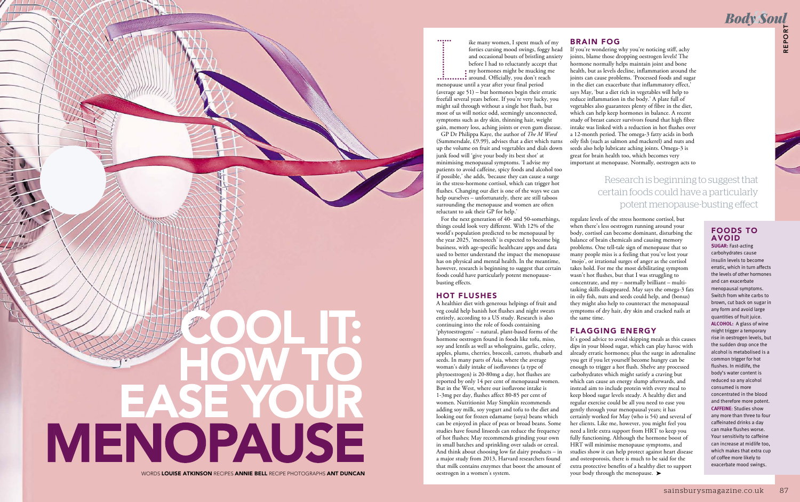

WORDS LOUISE ATKINSON RECIPES ANNIE BELL RECIPE PHOTOGRAPHS ANT DUNCAN

### BRAIN FOG

If you're wondering why you're noticing stiff, achy joints, blame those dropping oestrogen levels! The hormone normally helps maintain joint and bone health, but as levels decline, inflammation around the joints can cause problems. 'Processed foods and sugar in the diet can exacerbate that inflammatory effect,' says May, 'but a diet rich in vegetables will help to reduce inflammation in the body.' A plate full of vegetables also guarantees plenty of fibre in the diet, which can help keep hormones in balance. A recent study of breast cancer survivors found that high fibre intake was linked with a reduction in hot flushes over a 12-month period. The omega-3 fatty acids in both oily fish (such as salmon and mackerel) and nuts and seeds also help lubricate aching joints. Omega-3 is great for brain health too, which becomes very important at menopause. Normally, oestrogen acts to

It's good advice to avoid skipping meals as this causes dips in your blood sugar, which can play havoc with already erratic hormones; plus the surge in adrenaline you get if you let yourself become hungry can be enough to trigger a hot flush. Shelve any processed carbohydrates which might satisfy a craving but which can cause an energy slump afterwards, and instead aim to include protein with every meal to keep blood sugar levels steady. A healthy diet and regular exercise could be all you need to ease you gently through your menopausal years; it has certainly worked for May (who is 54) and several of her clients. Like me, however, you might feel you need a little extra support from HRT to keep you fully functioning. Although the hormone boost of HRT will minimise menopause symptoms, and studies show it can help protect against heart disease and osteoporosis, there is much to be said for the extra protective benefits of a healthy diet to support your body through the menopause. ►

# **Body Soul**

regulate levels of the stress hormone cortisol, but when there's less oestrogen running around your body, cortisol can become dominant, disturbing the balance of brain chemicals and causing memory problems. One tell-tale sign of menopause that so many people miss is a feeling that you've lost your 'mojo', or irrational surges of anger as the cortisol takes hold. For me the most debilitating symptom wasn't hot flushes, but that I was struggling to concentrate, and my – normally brilliant – multitasking skills disappeared. May says the omega-3 fats in oily fish, nuts and seeds could help, and (bonus) they might also help to counteract the menopausal symptoms of dry hair, dry skin and cracked nails at the same time.

### FLAGGING ENERGY

## Research is beginning to suggest that certain foods could have a particularly potent menopause-busting effect

L ike many women, I spent much of my forties cursing mood swings, foggy head and occasional bouts of bristling anxiety before I had to reluctantly accept that my hormones might be mucking me around. Officially, you don't reach menopause until a year after your final period (average age 51) – but hormones begin their erratic freefall several years before. If you're very lucky, you might sail through without a single hot flush, but most of us will notice odd, seemingly unconnected, symptoms such as dry skin, thinning hair, weight gain, memory loss, aching joints or even gum disease.

saint, actor<br>and bone and about an anomal de on a montal de montal on a montal de montal de montal de montal de montal de montal de montal de montal de montal de montal de montal de montal de montal de montal de montal de **SUGAR:** Fast-acting carbohydrates cause insulin levels to become erratic, which in turn affects the levels of other hormones and can exacerbate menopausal symptoms. Switch from white carbs to brown, cut back on sugar in any form and avoid large quantities of fruit juice. **ALCOHOL:** A glass of wine might trigger a temporary rise in oestrogen levels, but the sudden drop once the alcohol is metabolised is a common trigger for hot flushes. In midlife, the body's water content is reduced so any alcohol consumed is more concentrated in the blood and therefore more potent. **CAFFEINE**: Studies show any more than three to four caffeinated drinks a day can make flushes worse. Your sensitivity to caffeine can increase at midlife too, which makes that extra cup of coffee more likely to exacerbate mood swings.

 GP Dr Philippa Kaye, the author of *The M Word* (Summersdale, £9.99), advises that a diet which turns up the volume on fruit and vegetables and dials down junk food will 'give your body its best shot' at minimising menopausal symptoms. 'I advise my patients to avoid caffeine, spicy foods and alcohol too if possible,' she adds, 'because they can cause a surge in the stress-hormone cortisol, which can trigger hot flushes. Changing our diet is one of the ways we can help ourselves – unfortunately, there are still taboos surrounding the menopause and women are often reluctant to ask their GP for help.'

 For the next generation of 40- and 50-somethings, things could look very different. With 12% of the world's population predicted to be menopausal by the year 2025, 'menotech' is expected to become big business, with age-specific healthcare apps and data used to better understand the impact the menopause has on physical and mental health. In the meantime, however, research is beginning to suggest that certain foods could have particularly potent menopausebusting effects.

### HOT FLUSHES

A healthier diet with generous helpings of fruit and veg could help banish hot flushes and night sweats entirely, according to a US study. Research is also continuing into the role of foods containing 'phytoestrogens' – natural, plant-based forms of the hormone oestrogen found in foods like tofu, miso, soy and lentils as well as wholegrains, garlic, celery, apples, plums, cherries, broccoli, carrots, rhubarb and seeds. In many parts of Asia, where the average woman's daily intake of isoflavones (a type of phytoestrogen) is 20-80mg a day, hot flushes are reported by only 14 per cent of menopausal women. But in the West, where our isoflavone intake is 1-3mg per day, flushes affect 80-85 per cent of women. Nutritionist May Simpkin recommends adding soy milk, soy yogurt and tofu to the diet and looking out for frozen edamame (soya) beans which can be enjoyed in place of peas or broad beans. Some studies have found linseeds can reduce the frequency of hot flushes; May recommends grinding your own in small batches and sprinkling over salads or cereal. And think about choosing low fat dairy products – in a major study from 2013, Harvard researchers found that milk contains enzymes that boost the amount of oestrogen in a women's system.

### FOODS TO AVOID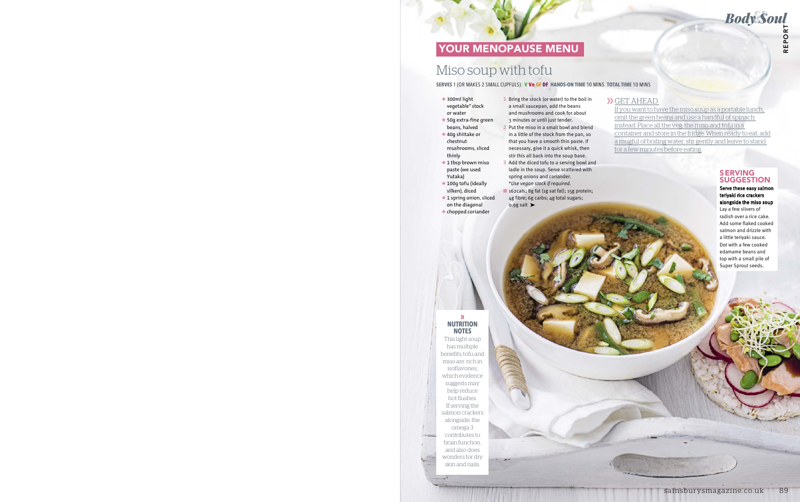### GET AHEAD

If you want to have the miso soup as a portable lunch, omit the green beans and use a handful of spinach instead. Place all the veg, the miso and tofu in a container and store in the fridge. When ready to eat, add a mugful of boiling water, stir gently and leave to stand for a few minutes before eating. Frame and the sale and that the same and the same and the same and the same and the same of the same that the same that the same of the same of the same of the same of the same of the same of the same of the same of the sa

- ◆ 300ml light vegetable\* stock or water
- ◆ 50g extra-fine green beans, halved
- ◆ 40g shiitake or chestnut mushrooms, sliced thinly
- ◆ 1 tbsp brown miso paste (we used Yutaka)
- ◆ 100q tofu (ideally silken), diced
- ◆ 1 spring onion, sliced on the diagonal ◆ chopped coriander
- **1** Bring the stock (or water) to the boil in a small saucepan, add the beans and mushrooms and cook for about 3 minutes or until just tender.
- **2** Put the miso in a small bowl and blend in a little of the stock from the pan, so that you have a smooth thin paste. If necessary, give it a quick whisk, then stir this all back into the soup base.
- **3** Add the diced tofu to a serving bowl and ladle in the soup. Serve scattered with spring onions and coriander. \**Use vegan stock if required.*
- 162cals; 8g fat (1g sat fat); 15g protein; 4g fibre; 6g carbs; 4g total sugars; 0.9g salt  $\blacktriangleright$

### **SERVES** 1 (OR MAKES 2 SMALL CUPFULS) **V Vn GF DF HANDS-ON TIME** 10 MINS **TOTAL TIME** 10 MINS

### SERVING **SUGGESTION**

# Miso soup with tofu

Serve these easy salmon teriyaki rice crackers alongside the miso soup Lay a few slivers of radish over a rice cake. Add some flaked cooked salmon and drizzle with a little teriyaki sauce. Dot with a few cooked edamame beans and top with a small pile of Super Sprout seeds.

# YOUR MENOPAUSE MENU

### **» NUTRITION NOTES**

This light soup has multiple benefits; tofu and miso are rich in isoflavones, which evidence suggests may help reduce hot flushes. If serving the salmon crackers alongside, the omega-3 contributes to brain function, and also does wonders for dry skin and nails.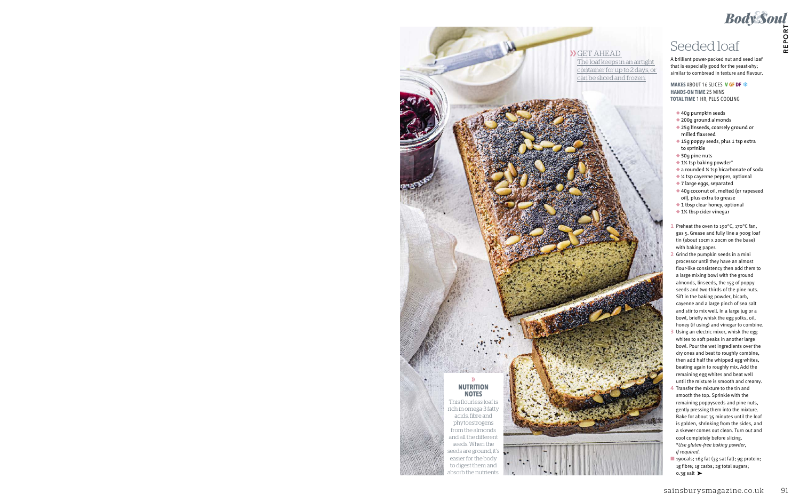**MAKES** ABOUT 16 SLICES **V GF DF HANDS-ON TIME** 25 MINS **TOTAL TIME** 1 HR, PLUS COOLING

- ◆ 40g pumpkin seeds
- ◆ 200q qround almonds
- ◆ 25g linseeds, coarsely ground or milled flaxseed
- ◆ 15g poppy seeds, plus 1 tsp extra to sprinkle
- ◆ 50g pine nuts
- ◆ 1½ tsp baking powder\*
- ◆ a rounded ¼ tsp bicarbonate of soda
- ◆ ¼ tsp cayenne pepper, optional
- ◆ 7 large eggs, separated
- ◆ 40g coconut oil, melted (or rapeseed oil), plus extra to grease
- ◆ 1 tbsp clear honey, optional
- ◆ 1½ tbsp cider vinegar
- **1** Preheat the oven to 190°C, 170°C fan, gas 5. Grease and fully line a 900g loaf tin (about 10cm x 20cm on the base) with baking paper.
- **2** Grind the pumpkin seeds in a mini processor until they have an almost flour-like consistency then add them to a large mixing bowl with the ground almonds, linseeds, the 15g of poppy seeds and two-thirds of the pine nuts. Sift in the baking powder, bicarb, cayenne and a large pinch of sea salt and stir to mix well. In a large jug or a bowl, briefly whisk the egg yolks, oil, honey (if using) and vinegar to combine. See Coloring Coloring and the specifiest of the specifiest positive that is epochally for the specifiest specifies of the specifiest of the specifiest of the specifiest of the specifiest of the specifiest of the specifies
- **3** Using an electric mixer, whisk the egg whites to soft peaks in another large bowl. Pour the wet ingredients over the dry ones and beat to roughly combine, then add half the whipped egg whites, beating again to roughly mix. Add the remaining egg whites and beat well until the mixture is smooth and creamy.
- **4** Transfer the mixture to the tin and smooth the top. Sprinkle with the remaining poppyseeds and pine nuts, gently pressing them into the mixture. Bake for about 35 minutes until the loaf is golden, shrinking from the sides, and a skewer comes out clean. Turn out and cool completely before slicing. \**Use gluten-free baking powder, if required.*
- 190cals; 16g fat (3g sat fat); 9g protein; 1g fibre; 1g carbs; 2g total sugars; 0.3g salt ➤

GET AHEAD The loaf keeps in an airtight container for up to 2 days, or can be sliced and frozen.

A brilliant power-packed nut and seed loaf that is especially good for the yeast-shy; similar to cornbread in texture and flavour.



This flourless loaf is rich in omega-3 fatty acids, fibre and phytoestrogens from the almonds and all the different seeds. When the seeds are ground, it's easier for the body to digest them and absorb the nutrients.



Body Soul<br>Seeded loaf